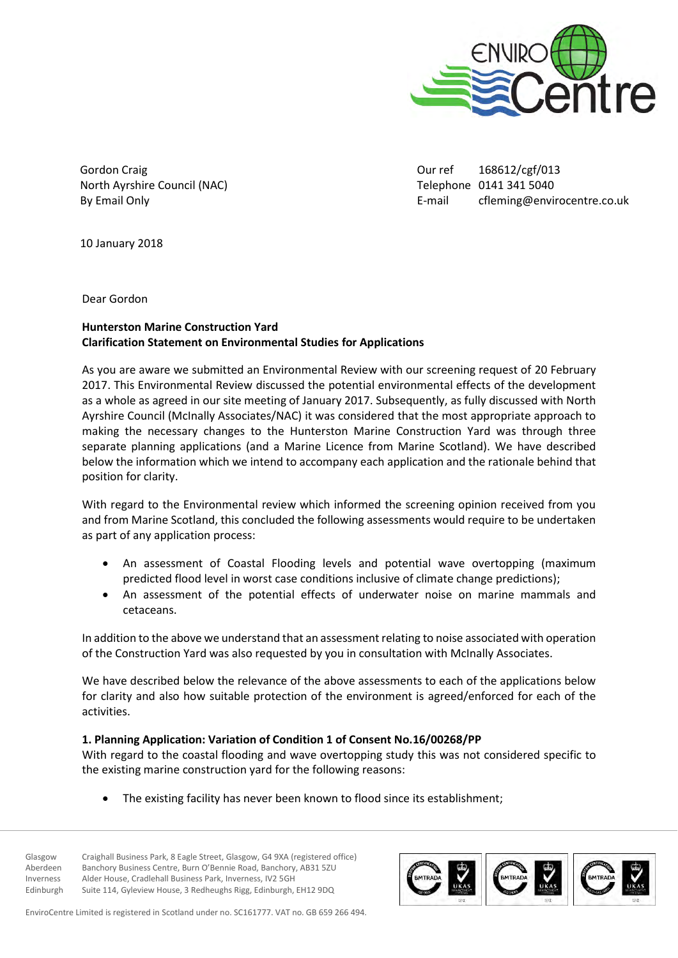

Gordon Craig North Ayrshire Council (NAC) By Email Only

Our ref 168612/cgf/013 Telephone 0141 341 5040 E-mail cfleming@envirocentre.co.uk

10 January 2018

Dear Gordon

## **Hunterston Marine Construction Yard Clarification Statement on Environmental Studies for Applications**

As you are aware we submitted an Environmental Review with our screening request of 20 February 2017. This Environmental Review discussed the potential environmental effects of the development as a whole as agreed in our site meeting of January 2017. Subsequently, as fully discussed with North Ayrshire Council (McInally Associates/NAC) it was considered that the most appropriate approach to making the necessary changes to the Hunterston Marine Construction Yard was through three separate planning applications (and a Marine Licence from Marine Scotland). We have described below the information which we intend to accompany each application and the rationale behind that position for clarity.

With regard to the Environmental review which informed the screening opinion received from you and from Marine Scotland, this concluded the following assessments would require to be undertaken as part of any application process:

- An assessment of Coastal Flooding levels and potential wave overtopping (maximum predicted flood level in worst case conditions inclusive of climate change predictions);
- An assessment of the potential effects of underwater noise on marine mammals and cetaceans.

In addition to the above we understand that an assessment relating to noise associated with operation of the Construction Yard was also requested by you in consultation with McInally Associates.

We have described below the relevance of the above assessments to each of the applications below for clarity and also how suitable protection of the environment is agreed/enforced for each of the activities.

### **1. Planning Application: Variation of Condition 1 of Consent No.16/00268/PP**

With regard to the coastal flooding and wave overtopping study this was not considered specific to the existing marine construction yard for the following reasons:

The existing facility has never been known to flood since its establishment;

Glasgow Craighall Business Park, 8 Eagle Street, Glasgow, G4 9XA (registered office) Aberdeen Banchory Business Centre, Burn O'Bennie Road, Banchory, AB31 5ZU Inverness Alder House, Cradlehall Business Park, Inverness, IV2 5GH Edinburgh Suite 114, Gyleview House, 3 Redheughs Rigg, Edinburgh, EH12 9DQ



EnviroCentre Limited is registered in Scotland under no. SC161777. VAT no. GB 659 266 494.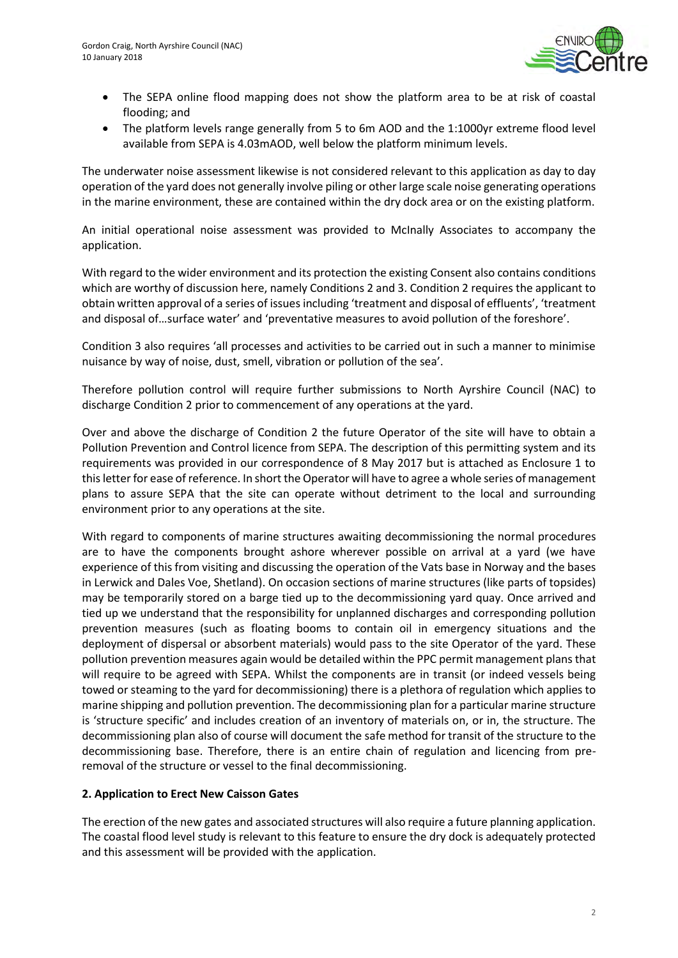

- The SEPA online flood mapping does not show the platform area to be at risk of coastal flooding; and
- The platform levels range generally from 5 to 6m AOD and the 1:1000yr extreme flood level available from SEPA is 4.03mAOD, well below the platform minimum levels.

The underwater noise assessment likewise is not considered relevant to this application as day to day operation of the yard does not generally involve piling or other large scale noise generating operations in the marine environment, these are contained within the dry dock area or on the existing platform.

An initial operational noise assessment was provided to McInally Associates to accompany the application.

With regard to the wider environment and its protection the existing Consent also contains conditions which are worthy of discussion here, namely Conditions 2 and 3. Condition 2 requires the applicant to obtain written approval of a series of issues including 'treatment and disposal of effluents', 'treatment and disposal of…surface water' and 'preventative measures to avoid pollution of the foreshore'.

Condition 3 also requires 'all processes and activities to be carried out in such a manner to minimise nuisance by way of noise, dust, smell, vibration or pollution of the sea'.

Therefore pollution control will require further submissions to North Ayrshire Council (NAC) to discharge Condition 2 prior to commencement of any operations at the yard.

Over and above the discharge of Condition 2 the future Operator of the site will have to obtain a Pollution Prevention and Control licence from SEPA. The description of this permitting system and its requirements was provided in our correspondence of 8 May 2017 but is attached as Enclosure 1 to this letter for ease of reference. In short the Operator will have to agree a whole series of management plans to assure SEPA that the site can operate without detriment to the local and surrounding environment prior to any operations at the site.

With regard to components of marine structures awaiting decommissioning the normal procedures are to have the components brought ashore wherever possible on arrival at a yard (we have experience of this from visiting and discussing the operation of the Vats base in Norway and the bases in Lerwick and Dales Voe, Shetland). On occasion sections of marine structures (like parts of topsides) may be temporarily stored on a barge tied up to the decommissioning yard quay. Once arrived and tied up we understand that the responsibility for unplanned discharges and corresponding pollution prevention measures (such as floating booms to contain oil in emergency situations and the deployment of dispersal or absorbent materials) would pass to the site Operator of the yard. These pollution prevention measures again would be detailed within the PPC permit management plans that will require to be agreed with SEPA. Whilst the components are in transit (or indeed vessels being towed or steaming to the yard for decommissioning) there is a plethora of regulation which applies to marine shipping and pollution prevention. The decommissioning plan for a particular marine structure is 'structure specific' and includes creation of an inventory of materials on, or in, the structure. The decommissioning plan also of course will document the safe method for transit of the structure to the decommissioning base. Therefore, there is an entire chain of regulation and licencing from preremoval of the structure or vessel to the final decommissioning.

### **2. Application to Erect New Caisson Gates**

The erection of the new gates and associated structures will also require a future planning application. The coastal flood level study is relevant to this feature to ensure the dry dock is adequately protected and this assessment will be provided with the application.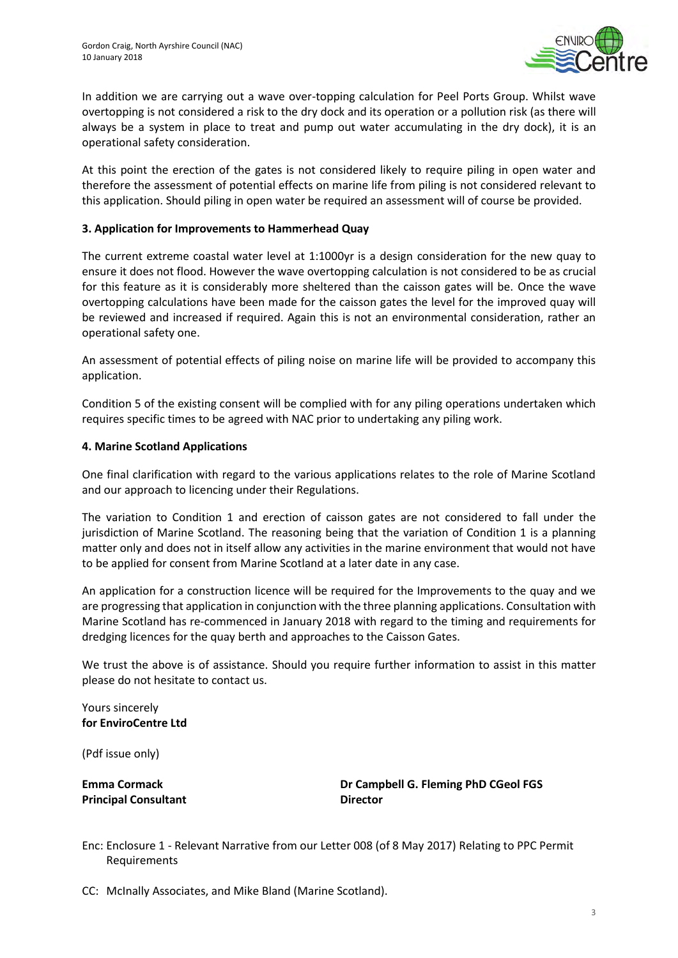

In addition we are carrying out a wave over-topping calculation for Peel Ports Group. Whilst wave overtopping is not considered a risk to the dry dock and its operation or a pollution risk (as there will always be a system in place to treat and pump out water accumulating in the dry dock), it is an operational safety consideration.

At this point the erection of the gates is not considered likely to require piling in open water and therefore the assessment of potential effects on marine life from piling is not considered relevant to this application. Should piling in open water be required an assessment will of course be provided.

### **3. Application for Improvements to Hammerhead Quay**

The current extreme coastal water level at 1:1000yr is a design consideration for the new quay to ensure it does not flood. However the wave overtopping calculation is not considered to be as crucial for this feature as it is considerably more sheltered than the caisson gates will be. Once the wave overtopping calculations have been made for the caisson gates the level for the improved quay will be reviewed and increased if required. Again this is not an environmental consideration, rather an operational safety one.

An assessment of potential effects of piling noise on marine life will be provided to accompany this application.

Condition 5 of the existing consent will be complied with for any piling operations undertaken which requires specific times to be agreed with NAC prior to undertaking any piling work.

### **4. Marine Scotland Applications**

One final clarification with regard to the various applications relates to the role of Marine Scotland and our approach to licencing under their Regulations.

The variation to Condition 1 and erection of caisson gates are not considered to fall under the jurisdiction of Marine Scotland. The reasoning being that the variation of Condition 1 is a planning matter only and does not in itself allow any activities in the marine environment that would not have to be applied for consent from Marine Scotland at a later date in any case.

An application for a construction licence will be required for the Improvements to the quay and we are progressing that application in conjunction with the three planning applications. Consultation with Marine Scotland has re-commenced in January 2018 with regard to the timing and requirements for dredging licences for the quay berth and approaches to the Caisson Gates.

We trust the above is of assistance. Should you require further information to assist in this matter please do not hesitate to contact us.

Yours sincerely **for EnviroCentre Ltd** 

(Pdf issue only)

**Principal Consultant Director Director** 

**Emma Cormack Dr Campbell G. Fleming PhD CGeol FGS** 

Enc: Enclosure 1 - Relevant Narrative from our Letter 008 (of 8 May 2017) Relating to PPC Permit Requirements

CC: McInally Associates, and Mike Bland (Marine Scotland).